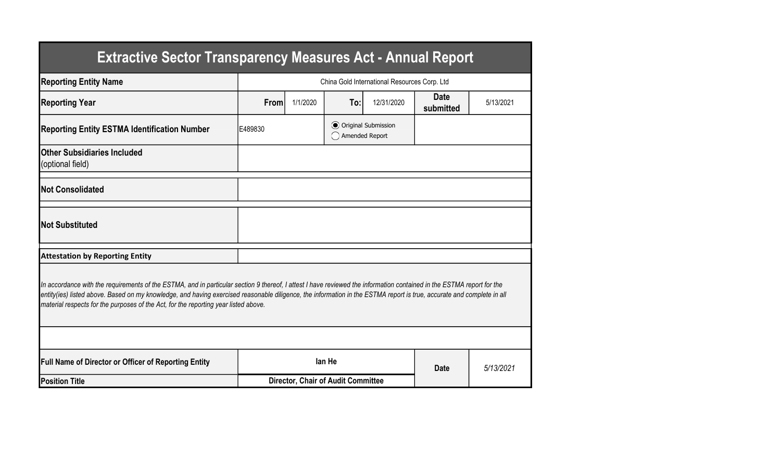| <b>Extractive Sector Transparency Measures Act - Annual Report</b>                                                                                                                                                                                                                                                                                                                                                                    |                                              |                                           |                                                  |            |                          |           |  |  |  |
|---------------------------------------------------------------------------------------------------------------------------------------------------------------------------------------------------------------------------------------------------------------------------------------------------------------------------------------------------------------------------------------------------------------------------------------|----------------------------------------------|-------------------------------------------|--------------------------------------------------|------------|--------------------------|-----------|--|--|--|
| <b>Reporting Entity Name</b>                                                                                                                                                                                                                                                                                                                                                                                                          | China Gold International Resources Corp. Ltd |                                           |                                                  |            |                          |           |  |  |  |
| <b>Reporting Year</b>                                                                                                                                                                                                                                                                                                                                                                                                                 | From                                         | 1/1/2020                                  | To:                                              | 12/31/2020 | <b>Date</b><br>submitted | 5/13/2021 |  |  |  |
| <b>Reporting Entity ESTMA Identification Number</b>                                                                                                                                                                                                                                                                                                                                                                                   | E489830                                      |                                           | <b>⊙</b> Original Submission<br>◯ Amended Report |            |                          |           |  |  |  |
| <b>Other Subsidiaries Included</b><br>(optional field)                                                                                                                                                                                                                                                                                                                                                                                |                                              |                                           |                                                  |            |                          |           |  |  |  |
| <b>Not Consolidated</b>                                                                                                                                                                                                                                                                                                                                                                                                               |                                              |                                           |                                                  |            |                          |           |  |  |  |
| <b>Not Substituted</b>                                                                                                                                                                                                                                                                                                                                                                                                                |                                              |                                           |                                                  |            |                          |           |  |  |  |
| <b>Attestation by Reporting Entity</b>                                                                                                                                                                                                                                                                                                                                                                                                |                                              |                                           |                                                  |            |                          |           |  |  |  |
| In accordance with the requirements of the ESTMA, and in particular section 9 thereof, I attest I have reviewed the information contained in the ESTMA report for the<br>entity(ies) listed above. Based on my knowledge, and having exercised reasonable diligence, the information in the ESTMA report is true, accurate and complete in all<br>material respects for the purposes of the Act, for the reporting year listed above. |                                              |                                           |                                                  |            |                          |           |  |  |  |
|                                                                                                                                                                                                                                                                                                                                                                                                                                       |                                              |                                           |                                                  |            |                          |           |  |  |  |
| <b>Full Name of Director or Officer of Reporting Entity</b>                                                                                                                                                                                                                                                                                                                                                                           |                                              |                                           | lan He                                           |            | <b>Date</b>              | 5/13/2021 |  |  |  |
| <b>Position Title</b>                                                                                                                                                                                                                                                                                                                                                                                                                 |                                              | <b>Director, Chair of Audit Committee</b> |                                                  |            |                          |           |  |  |  |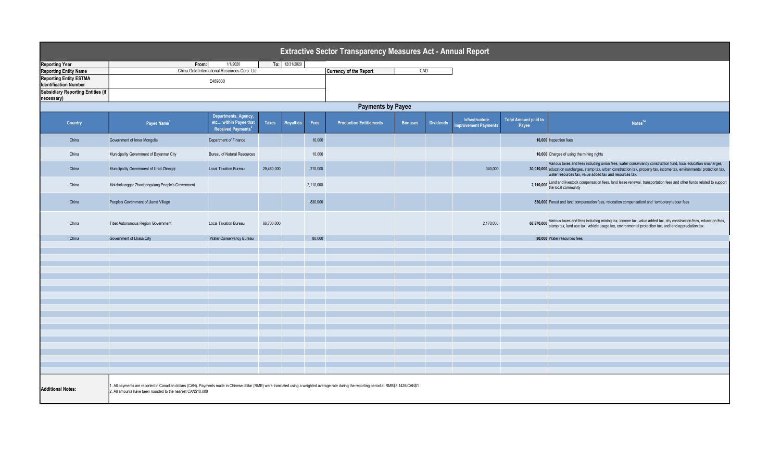| Extractive Sector Transparency Measures Act - Annual Report                                                                                                                                                                                                                             |                                                                                                                                         |                                    |            |  |           |                                |                |                  |                                       |                                      |                                                                                                                                                                                                                                                                                                         |  |
|-----------------------------------------------------------------------------------------------------------------------------------------------------------------------------------------------------------------------------------------------------------------------------------------|-----------------------------------------------------------------------------------------------------------------------------------------|------------------------------------|------------|--|-----------|--------------------------------|----------------|------------------|---------------------------------------|--------------------------------------|---------------------------------------------------------------------------------------------------------------------------------------------------------------------------------------------------------------------------------------------------------------------------------------------------------|--|
| <b>Reporting Year</b>                                                                                                                                                                                                                                                                   | From:                                                                                                                                   |                                    |            |  |           |                                |                |                  |                                       |                                      |                                                                                                                                                                                                                                                                                                         |  |
| <b>Reporting Entity Name</b>                                                                                                                                                                                                                                                            | To: 12/31/2020<br>1/1/2020<br>China Gold International Resources Corp. Ltd                                                              |                                    |            |  |           | <b>Currency of the Report</b>  | CAD            |                  |                                       |                                      |                                                                                                                                                                                                                                                                                                         |  |
| <b>Reporting Entity ESTMA</b>                                                                                                                                                                                                                                                           |                                                                                                                                         |                                    |            |  |           |                                |                |                  |                                       |                                      |                                                                                                                                                                                                                                                                                                         |  |
| <b>Identification Number</b>                                                                                                                                                                                                                                                            |                                                                                                                                         | E489830                            |            |  |           |                                |                |                  |                                       |                                      |                                                                                                                                                                                                                                                                                                         |  |
| <b>Subsidiary Reporting Entities (if</b><br>necessary)                                                                                                                                                                                                                                  |                                                                                                                                         |                                    |            |  |           |                                |                |                  |                                       |                                      |                                                                                                                                                                                                                                                                                                         |  |
|                                                                                                                                                                                                                                                                                         | <b>Payments by Payee</b>                                                                                                                |                                    |            |  |           |                                |                |                  |                                       |                                      |                                                                                                                                                                                                                                                                                                         |  |
| Country                                                                                                                                                                                                                                                                                 | Departments, Agency,<br>etc within Payee that<br>Taxes<br>Payee Name <sup>1</sup><br><b>Royalties</b><br>Received Payments <sup>2</sup> |                                    |            |  | Fees      | <b>Production Entitlements</b> | <b>Bonuses</b> | <b>Dividends</b> | Infrastructure<br>mprovement Payments | <b>Total Amount paid to</b><br>Payee | Notes <sup>34</sup>                                                                                                                                                                                                                                                                                     |  |
| China                                                                                                                                                                                                                                                                                   | Government of Inner Mongolia                                                                                                            | Department of Finance              |            |  | 10,000    |                                |                |                  |                                       |                                      | 10,000 Inspection fees                                                                                                                                                                                                                                                                                  |  |
| China                                                                                                                                                                                                                                                                                   | Municipality Government of Bayannur City                                                                                                | <b>Bureau of Natural Resources</b> |            |  | 10,000    |                                |                |                  |                                       |                                      | 10,000 Charges of using the mining rights                                                                                                                                                                                                                                                               |  |
| China                                                                                                                                                                                                                                                                                   | Municipality Government of Urad Zhongqi                                                                                                 | <b>Local Taxation Bureau</b>       | 29,460,000 |  | 210,000   |                                |                |                  | 340,000                               |                                      | Various taxes and fees including union fees, water conservancy construction fund, local education srucharges,<br>30,010,000 education surcharges, stamp tax, urban construction tax, property tax, income tax, environmental protection tax,<br>water resources tax, value added tax and resources tax. |  |
| China                                                                                                                                                                                                                                                                                   | Maizhokunggar Zhaxigangxiang People's Government                                                                                        |                                    |            |  | 2,110,000 |                                |                |                  |                                       |                                      | 2,110,000 Land and livestock compensation fees, land lease renewal, transportation fees and other funds related to support the local community                                                                                                                                                          |  |
| China                                                                                                                                                                                                                                                                                   | People's Government of Jiama Village                                                                                                    |                                    |            |  | 830,000   |                                |                |                  |                                       |                                      | 830,000 Forest and land compensation fees, relocation compensationl and temporary labour fees                                                                                                                                                                                                           |  |
| China                                                                                                                                                                                                                                                                                   | Tibet Autonomous Region Government                                                                                                      | <b>Local Taxation Bureau</b>       | 66,700,000 |  |           |                                |                |                  | 2,170,000                             |                                      | 68,870,000 Various taxes and fees including mining tax, income tax, value added tax, city construction fees, education fees, 68,870,000 stamp tax, land use tax, vehicle usage tax, environmental protection tax, and land app                                                                          |  |
| China                                                                                                                                                                                                                                                                                   | Government of Lhasa City                                                                                                                | Water Conservancy Bureau           |            |  | 80,000    |                                |                |                  |                                       |                                      | 80,000 Water resources fees                                                                                                                                                                                                                                                                             |  |
|                                                                                                                                                                                                                                                                                         |                                                                                                                                         |                                    |            |  |           |                                |                |                  |                                       |                                      |                                                                                                                                                                                                                                                                                                         |  |
|                                                                                                                                                                                                                                                                                         |                                                                                                                                         |                                    |            |  |           |                                |                |                  |                                       |                                      |                                                                                                                                                                                                                                                                                                         |  |
|                                                                                                                                                                                                                                                                                         |                                                                                                                                         |                                    |            |  |           |                                |                |                  |                                       |                                      |                                                                                                                                                                                                                                                                                                         |  |
|                                                                                                                                                                                                                                                                                         |                                                                                                                                         |                                    |            |  |           |                                |                |                  |                                       |                                      |                                                                                                                                                                                                                                                                                                         |  |
|                                                                                                                                                                                                                                                                                         |                                                                                                                                         |                                    |            |  |           |                                |                |                  |                                       |                                      |                                                                                                                                                                                                                                                                                                         |  |
|                                                                                                                                                                                                                                                                                         |                                                                                                                                         |                                    |            |  |           |                                |                |                  |                                       |                                      |                                                                                                                                                                                                                                                                                                         |  |
|                                                                                                                                                                                                                                                                                         |                                                                                                                                         |                                    |            |  |           |                                |                |                  |                                       |                                      |                                                                                                                                                                                                                                                                                                         |  |
|                                                                                                                                                                                                                                                                                         |                                                                                                                                         |                                    |            |  |           |                                |                |                  |                                       |                                      |                                                                                                                                                                                                                                                                                                         |  |
|                                                                                                                                                                                                                                                                                         |                                                                                                                                         |                                    |            |  |           |                                |                |                  |                                       |                                      |                                                                                                                                                                                                                                                                                                         |  |
|                                                                                                                                                                                                                                                                                         |                                                                                                                                         |                                    |            |  |           |                                |                |                  |                                       |                                      |                                                                                                                                                                                                                                                                                                         |  |
|                                                                                                                                                                                                                                                                                         |                                                                                                                                         |                                    |            |  |           |                                |                |                  |                                       |                                      |                                                                                                                                                                                                                                                                                                         |  |
|                                                                                                                                                                                                                                                                                         |                                                                                                                                         |                                    |            |  |           |                                |                |                  |                                       |                                      |                                                                                                                                                                                                                                                                                                         |  |
|                                                                                                                                                                                                                                                                                         |                                                                                                                                         |                                    |            |  |           |                                |                |                  |                                       |                                      |                                                                                                                                                                                                                                                                                                         |  |
|                                                                                                                                                                                                                                                                                         |                                                                                                                                         |                                    |            |  |           |                                |                |                  |                                       |                                      |                                                                                                                                                                                                                                                                                                         |  |
|                                                                                                                                                                                                                                                                                         |                                                                                                                                         |                                    |            |  |           |                                |                |                  |                                       |                                      |                                                                                                                                                                                                                                                                                                         |  |
|                                                                                                                                                                                                                                                                                         |                                                                                                                                         |                                    |            |  |           |                                |                |                  |                                       |                                      |                                                                                                                                                                                                                                                                                                         |  |
|                                                                                                                                                                                                                                                                                         |                                                                                                                                         |                                    |            |  |           |                                |                |                  |                                       |                                      |                                                                                                                                                                                                                                                                                                         |  |
| . All payments are reported in Canadian dollars (CAN). Payments made in Chinese dollar (RMB) were translated using a weighted average rate during the reporting period at RMB\$5.1426/CAN\$1<br><b>Additional Notes:</b><br>2. All amounts have been rounded to the nearest CAN\$10,000 |                                                                                                                                         |                                    |            |  |           |                                |                |                  |                                       |                                      |                                                                                                                                                                                                                                                                                                         |  |